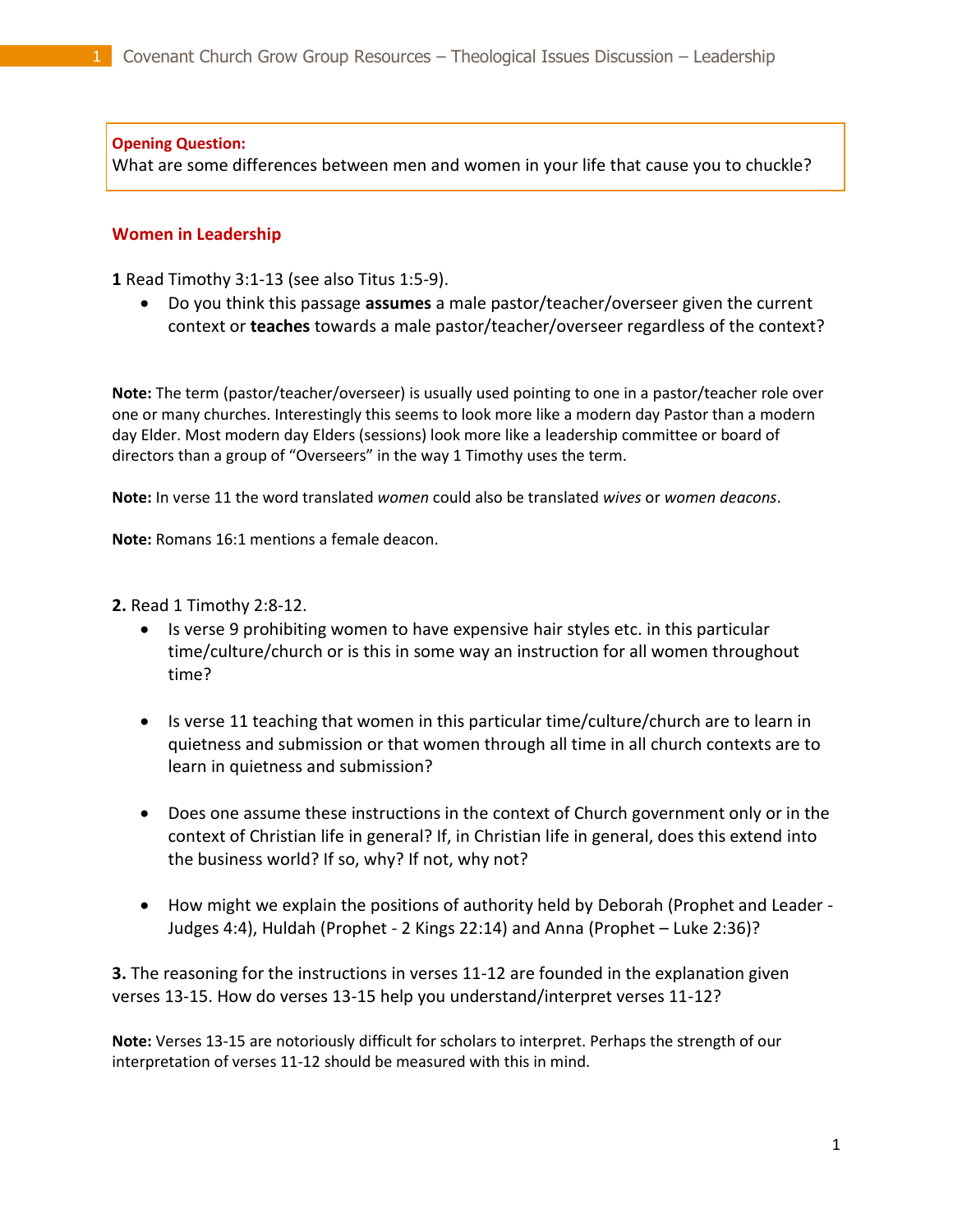## **Opening Question:**

What are some differences between men and women in your life that cause you to chuckle?

## **Women in Leadership**

**1** Read Timothy 3:1-13 (see also Titus 1:5-9).

 Do you think this passage **assumes** a male pastor/teacher/overseer given the current context or **teaches** towards a male pastor/teacher/overseer regardless of the context?

**Note:** The term (pastor/teacher/overseer) is usually used pointing to one in a pastor/teacher role over one or many churches. Interestingly this seems to look more like a modern day Pastor than a modern day Elder. Most modern day Elders (sessions) look more like a leadership committee or board of directors than a group of "Overseers" in the way 1 Timothy uses the term.

**Note:** In verse 11 the word translated *women* could also be translated *wives* or *women deacons*.

**Note:** Romans 16:1 mentions a female deacon.

**2.** Read 1 Timothy 2:8-12.

- Is verse 9 prohibiting women to have expensive hair styles etc. in this particular time/culture/church or is this in some way an instruction for all women throughout time?
- Is verse 11 teaching that women in this particular time/culture/church are to learn in quietness and submission or that women through all time in all church contexts are to learn in quietness and submission?
- Does one assume these instructions in the context of Church government only or in the context of Christian life in general? If, in Christian life in general, does this extend into the business world? If so, why? If not, why not?
- How might we explain the positions of authority held by Deborah (Prophet and Leader -Judges 4:4), Huldah (Prophet - 2 Kings 22:14) and Anna (Prophet – Luke 2:36)?

**3.** The reasoning for the instructions in verses 11-12 are founded in the explanation given verses 13-15. How do verses 13-15 help you understand/interpret verses 11-12?

**Note:** Verses 13-15 are notoriously difficult for scholars to interpret. Perhaps the strength of our interpretation of verses 11-12 should be measured with this in mind.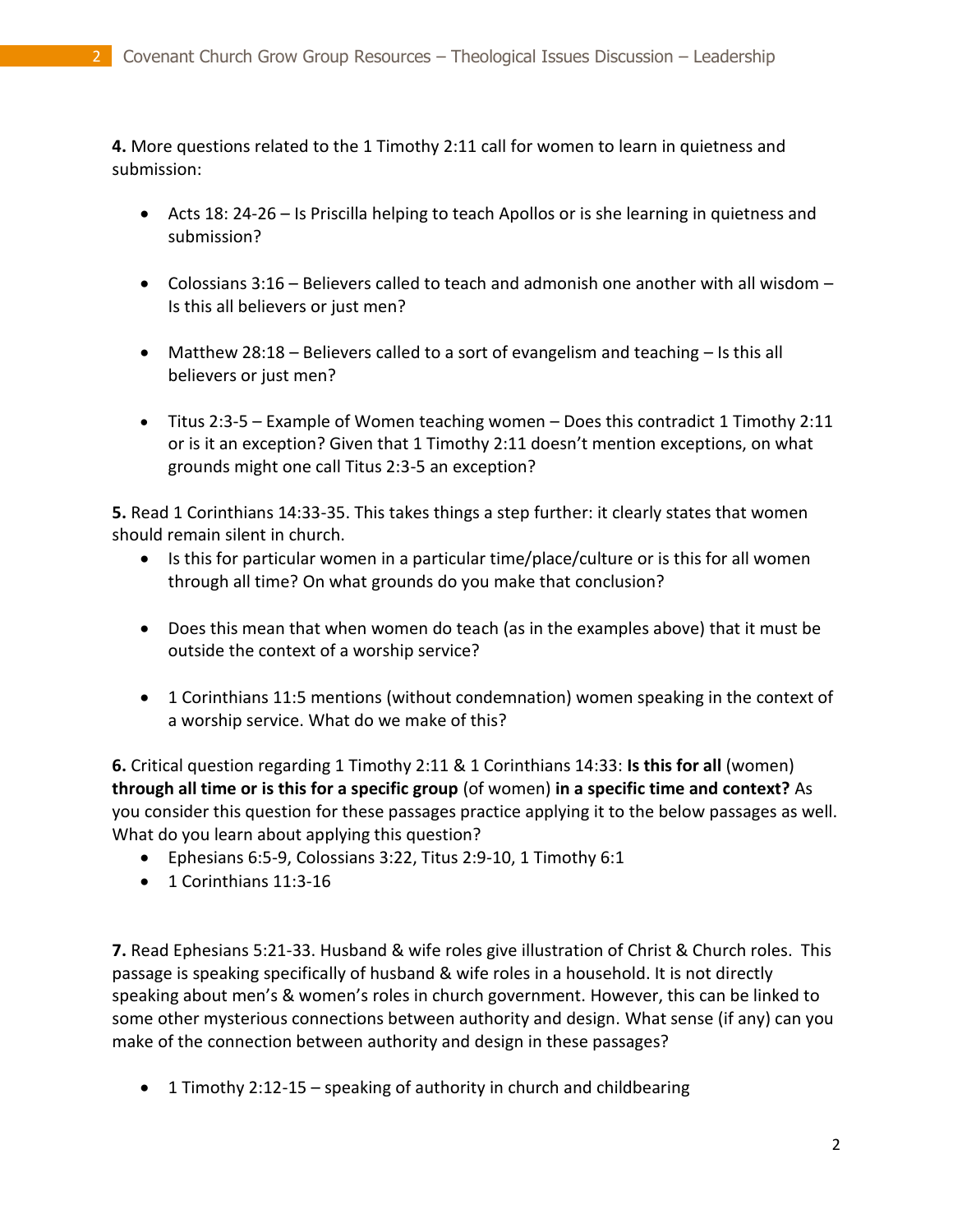**4.** More questions related to the 1 Timothy 2:11 call for women to learn in quietness and submission:

- Acts 18: 24-26 Is Priscilla helping to teach Apollos or is she learning in quietness and submission?
- Colossians 3:16 Believers called to teach and admonish one another with all wisdom Is this all believers or just men?
- Matthew 28:18 Believers called to a sort of evangelism and teaching Is this all believers or just men?
- $\bullet$  Titus 2:3-5 Example of Women teaching women Does this contradict 1 Timothy 2:11 or is it an exception? Given that 1 Timothy 2:11 doesn't mention exceptions, on what grounds might one call Titus 2:3-5 an exception?

**5.** Read 1 Corinthians 14:33-35. This takes things a step further: it clearly states that women should remain silent in church.

- Is this for particular women in a particular time/place/culture or is this for all women through all time? On what grounds do you make that conclusion?
- Does this mean that when women do teach (as in the examples above) that it must be outside the context of a worship service?
- 1 Corinthians 11:5 mentions (without condemnation) women speaking in the context of a worship service. What do we make of this?

**6.** Critical question regarding 1 Timothy 2:11 & 1 Corinthians 14:33: **Is this for all** (women) **through all time or is this for a specific group** (of women) **in a specific time and context?** As you consider this question for these passages practice applying it to the below passages as well. What do you learn about applying this question?

- Ephesians 6:5-9, Colossians 3:22, Titus 2:9-10, 1 Timothy 6:1
- 1 Corinthians 11:3-16

**7.** Read Ephesians 5:21-33. Husband & wife roles give illustration of Christ & Church roles. This passage is speaking specifically of husband & wife roles in a household. It is not directly speaking about men's & women's roles in church government. However, this can be linked to some other mysterious connections between authority and design. What sense (if any) can you make of the connection between authority and design in these passages?

1 Timothy 2:12-15 – speaking of authority in church and childbearing